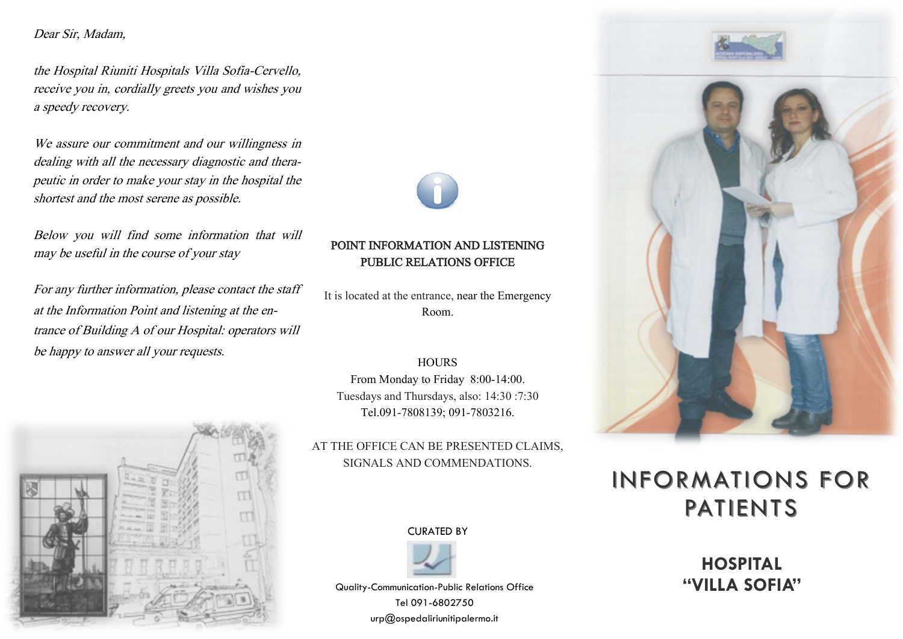Dear Sir, Madam,

the Hospital Riuniti Hospitals Villa Sofia-Cervello, receive you in, cordially greets you and wishes you a speedy recovery.

We assure our commitment and our willingness in dealing with all the necessary diagnostic and therapeutic in order to make your stay in the hospital the shortest and the most serene as possible.

Below you will find some information that will may be useful in the course of your stay

For any further information, please contact the staff at the Information Point and listening at the entrance of Building A of our Hospital: operators will be happy to answer all your requests.





It is located at the entrance, near the Emergency Room.

#### **HOURS**

From Monday to Friday 8:00-14:00. Tuesdays and Thursdays, also: 14:30 :7:30 Tel.091-7808139; 091-7803216.

AT THE OFFICE CAN BE PRESENTED CLAIMS, SIGNALS AND COMMENDATIONS.

CURATED BY



Quality-Communication-Public Relations Office **"VILLA SOFIA"** Tel 091-6802750 urp@ospedaliriunitipalermo.it





## INFORMATIONS FOR PATIENTS

# **HOSPITAL**